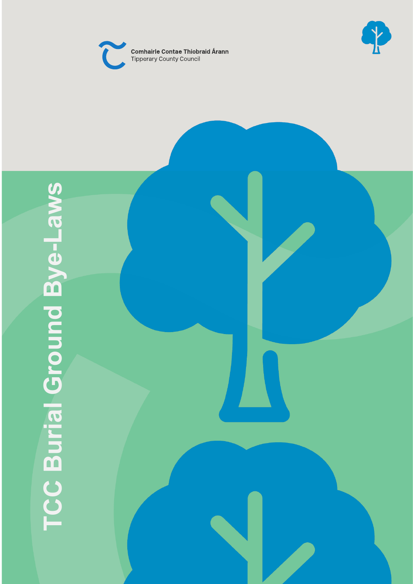



# **TCC Burial Ground Bye TCC Burial Ground Bye-Laws**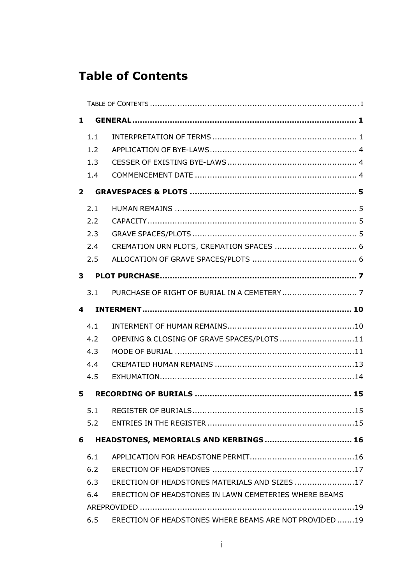# <span id="page-1-0"></span>**Table of Contents**

|                | 1                                           |                                                       |  |  |  |
|----------------|---------------------------------------------|-------------------------------------------------------|--|--|--|
|                | 1.1                                         |                                                       |  |  |  |
|                | 1.2                                         |                                                       |  |  |  |
|                | 1.3                                         |                                                       |  |  |  |
|                | 1.4                                         |                                                       |  |  |  |
| $\overline{2}$ |                                             |                                                       |  |  |  |
|                | 2.1                                         |                                                       |  |  |  |
|                | 2.2                                         |                                                       |  |  |  |
|                | 2.3                                         |                                                       |  |  |  |
|                | 2.4                                         |                                                       |  |  |  |
|                | 2.5                                         |                                                       |  |  |  |
| 3              |                                             |                                                       |  |  |  |
|                | 3.1                                         |                                                       |  |  |  |
|                | 4                                           |                                                       |  |  |  |
|                | 4.1                                         |                                                       |  |  |  |
|                | 4.2                                         | OPENING & CLOSING OF GRAVE SPACES/PLOTS11             |  |  |  |
|                | 4.3                                         |                                                       |  |  |  |
|                | 4.4                                         |                                                       |  |  |  |
|                | 4.5                                         |                                                       |  |  |  |
| 5              |                                             |                                                       |  |  |  |
|                |                                             |                                                       |  |  |  |
|                | 5.2                                         |                                                       |  |  |  |
|                | HEADSTONES, MEMORIALS AND KERBINGS 16<br>6. |                                                       |  |  |  |
|                | 6.1                                         |                                                       |  |  |  |
|                | 6.2                                         |                                                       |  |  |  |
|                | 6.3                                         | ERECTION OF HEADSTONES MATERIALS AND SIZES 17         |  |  |  |
|                | 6.4                                         | ERECTION OF HEADSTONES IN LAWN CEMETERIES WHERE BEAMS |  |  |  |
|                |                                             |                                                       |  |  |  |
|                | 6.5                                         | ERECTION OF HEADSTONES WHERE BEAMS ARE NOT PROVIDED19 |  |  |  |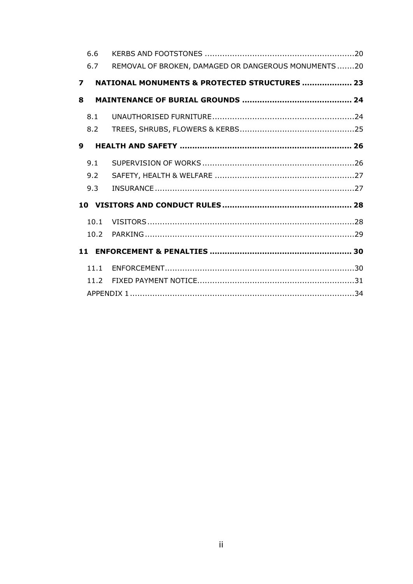|                         | 6.6  |                                                      |  |
|-------------------------|------|------------------------------------------------------|--|
|                         | 6.7  | REMOVAL OF BROKEN, DAMAGED OR DANGEROUS MONUMENTS 20 |  |
| $\overline{\mathbf{z}}$ |      | NATIONAL MONUMENTS & PROTECTED STRUCTURES  23        |  |
| 8                       |      |                                                      |  |
|                         | 8.1  |                                                      |  |
|                         | 8.2  |                                                      |  |
| 9                       |      |                                                      |  |
|                         | 9.1  |                                                      |  |
|                         | 9.2  |                                                      |  |
|                         | 9.3  |                                                      |  |
|                         |      |                                                      |  |
|                         | 10.1 |                                                      |  |
|                         | 10.2 |                                                      |  |
|                         |      |                                                      |  |
|                         | 11.1 |                                                      |  |
|                         | 11.2 |                                                      |  |
|                         |      |                                                      |  |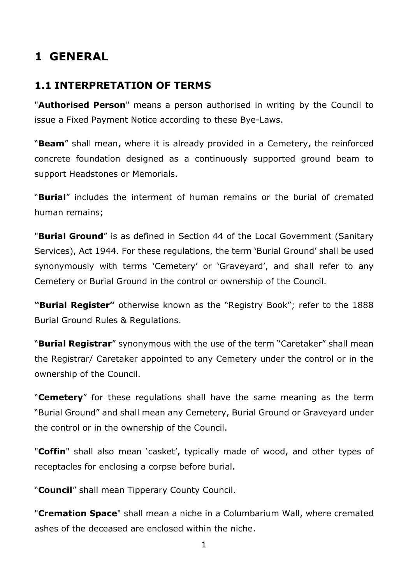# <span id="page-3-0"></span>**1 GENERAL**

#### <span id="page-3-1"></span>**1.1 INTERPRETATION OF TERMS**

"**Authorised Person**" means a person authorised in writing by the Council to issue a Fixed Payment Notice according to these Bye-Laws.

"**Beam**" shall mean, where it is already provided in a Cemetery, the reinforced concrete foundation designed as a continuously supported ground beam to support Headstones or Memorials.

"**Burial**" includes the interment of human remains or the burial of cremated human remains;

"**Burial Ground**" is as defined in Section 44 of the Local Government (Sanitary Services), Act 1944. For these regulations, the term 'Burial Ground' shall be used synonymously with terms 'Cemetery' or 'Graveyard', and shall refer to any Cemetery or Burial Ground in the control or ownership of the Council.

**"Burial Register"** otherwise known as the "Registry Book"; refer to the 1888 Burial Ground Rules & Regulations.

"**Burial Registrar**" synonymous with the use of the term "Caretaker" shall mean the Registrar/ Caretaker appointed to any Cemetery under the control or in the ownership of the Council.

"**Cemetery**" for these regulations shall have the same meaning as the term "Burial Ground" and shall mean any Cemetery, Burial Ground or Graveyard under the control or in the ownership of the Council.

"**Coffin**" shall also mean 'casket', typically made of wood, and other types of receptacles for enclosing a corpse before burial.

"**Council**" shall mean Tipperary County Council.

"**Cremation Space**" shall mean a niche in a Columbarium Wall, where cremated ashes of the deceased are enclosed within the niche.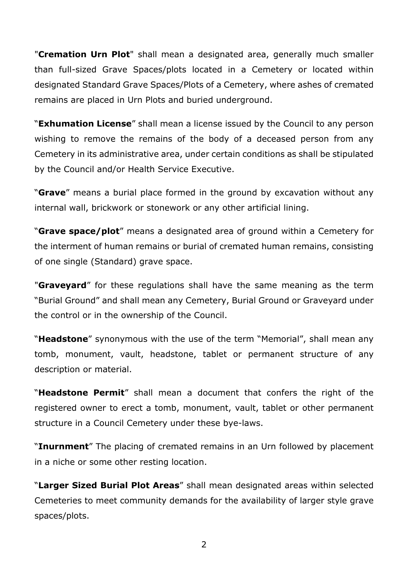"**Cremation Urn Plot**" shall mean a designated area, generally much smaller than full-sized Grave Spaces/plots located in a Cemetery or located within designated Standard Grave Spaces/Plots of a Cemetery, where ashes of cremated remains are placed in Urn Plots and buried underground.

"**Exhumation License**" shall mean a license issued by the Council to any person wishing to remove the remains of the body of a deceased person from any Cemetery in its administrative area, under certain conditions as shall be stipulated by the Council and/or Health Service Executive.

"**Grave**" means a burial place formed in the ground by excavation without any internal wall, brickwork or stonework or any other artificial lining.

"**Grave space/plot**" means a designated area of ground within a Cemetery for the interment of human remains or burial of cremated human remains, consisting of one single (Standard) grave space.

"**Graveyard**" for these regulations shall have the same meaning as the term "Burial Ground" and shall mean any Cemetery, Burial Ground or Graveyard under the control or in the ownership of the Council.

"**Headstone**" synonymous with the use of the term "Memorial", shall mean any tomb, monument, vault, headstone, tablet or permanent structure of any description or material.

"**Headstone Permit**" shall mean a document that confers the right of the registered owner to erect a tomb, monument, vault, tablet or other permanent structure in a Council Cemetery under these bye-laws.

"**Inurnment**" The placing of cremated remains in an Urn followed by placement in a niche or some other resting location.

"**Larger Sized Burial Plot Areas**" shall mean designated areas within selected Cemeteries to meet community demands for the availability of larger style grave spaces/plots.

2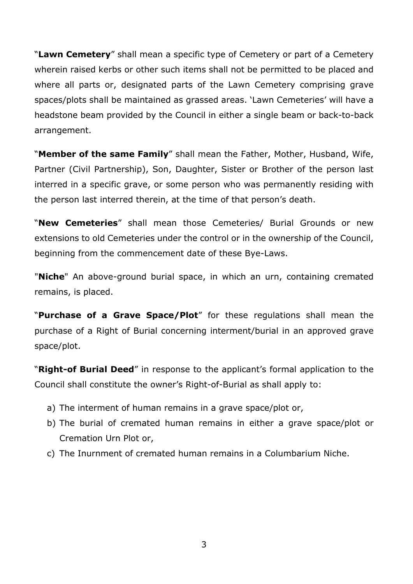"**Lawn Cemetery**" shall mean a specific type of Cemetery or part of a Cemetery wherein raised kerbs or other such items shall not be permitted to be placed and where all parts or, designated parts of the Lawn Cemetery comprising grave spaces/plots shall be maintained as grassed areas. 'Lawn Cemeteries' will have a headstone beam provided by the Council in either a single beam or back-to-back arrangement.

"**Member of the same Family**" shall mean the Father, Mother, Husband, Wife, Partner (Civil Partnership), Son, Daughter, Sister or Brother of the person last interred in a specific grave, or some person who was permanently residing with the person last interred therein, at the time of that person's death.

"**New Cemeteries**" shall mean those Cemeteries/ Burial Grounds or new extensions to old Cemeteries under the control or in the ownership of the Council, beginning from the commencement date of these Bye-Laws.

"**Niche**" An above-ground burial space, in which an urn, containing cremated remains, is placed.

"**Purchase of a Grave Space/Plot**" for these regulations shall mean the purchase of a Right of Burial concerning interment/burial in an approved grave space/plot.

"**Right-of Burial Deed**" in response to the applicant's formal application to the Council shall constitute the owner's Right-of-Burial as shall apply to:

- a) The interment of human remains in a grave space/plot or,
- b) The burial of cremated human remains in either a grave space/plot or Cremation Urn Plot or,
- c) The Inurnment of cremated human remains in a Columbarium Niche.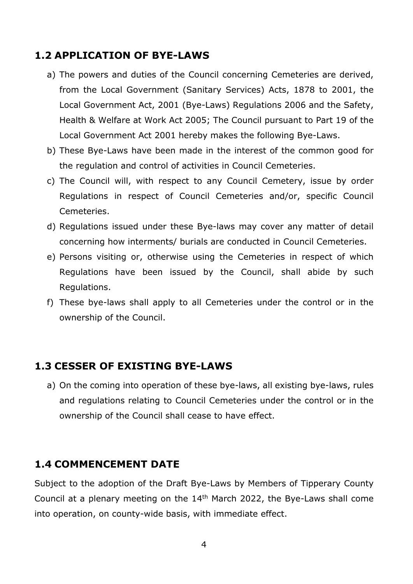#### <span id="page-6-0"></span>**1.2 APPLICATION OF BYE-LAWS**

- a) The powers and duties of the Council concerning Cemeteries are derived, from the Local Government (Sanitary Services) Acts, 1878 to 2001, the Local Government Act, 2001 (Bye-Laws) Regulations 2006 and the Safety, Health & Welfare at Work Act 2005; The Council pursuant to Part 19 of the Local Government Act 2001 hereby makes the following Bye-Laws.
- b) These Bye-Laws have been made in the interest of the common good for the regulation and control of activities in Council Cemeteries.
- c) The Council will, with respect to any Council Cemetery, issue by order Regulations in respect of Council Cemeteries and/or, specific Council Cemeteries.
- d) Regulations issued under these Bye-laws may cover any matter of detail concerning how interments/ burials are conducted in Council Cemeteries.
- e) Persons visiting or, otherwise using the Cemeteries in respect of which Regulations have been issued by the Council, shall abide by such Regulations.
- f) These bye-laws shall apply to all Cemeteries under the control or in the ownership of the Council.

#### <span id="page-6-1"></span>**1.3 CESSER OF EXISTING BYE-LAWS**

a) On the coming into operation of these bye-laws, all existing bye-laws, rules and regulations relating to Council Cemeteries under the control or in the ownership of the Council shall cease to have effect.

#### <span id="page-6-2"></span>**1.4 COMMENCEMENT DATE**

Subject to the adoption of the Draft Bye-Laws by Members of Tipperary County Council at a plenary meeting on the 14th March 2022, the Bye-Laws shall come into operation, on county-wide basis, with immediate effect.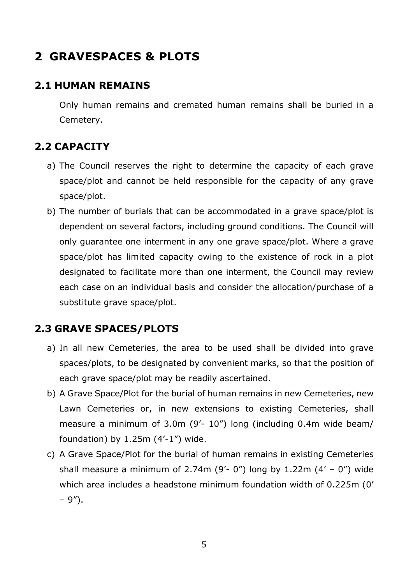# <span id="page-7-0"></span>**2 GRAVESPACES & PLOTS**

# <span id="page-7-1"></span>**2.1 HUMAN REMAINS**

Only human remains and cremated human remains shall be buried in a Cemetery.

# <span id="page-7-2"></span>**2.2 CAPACITY**

- a) The Council reserves the right to determine the capacity of each grave space/plot and cannot be held responsible for the capacity of any grave space/plot.
- b) The number of burials that can be accommodated in a grave space/plot is dependent on several factors, including ground conditions. The Council will only guarantee one interment in any one grave space/plot. Where a grave space/plot has limited capacity owing to the existence of rock in a plot designated to facilitate more than one interment, the Council may review each case on an individual basis and consider the allocation/purchase of a substitute grave space/plot.

# <span id="page-7-3"></span>**2.3 GRAVE SPACES/PLOTS**

- a) In all new Cemeteries, the area to be used shall be divided into grave spaces/plots, to be designated by convenient marks, so that the position of each grave space/plot may be readily ascertained.
- b) A Grave Space/Plot for the burial of human remains in new Cemeteries, new Lawn Cemeteries or, in new extensions to existing Cemeteries, shall measure a minimum of 3.0m (9'- 10") long (including 0.4m wide beam/ foundation) by  $1.25m$  (4'-1") wide.
- c) A Grave Space/Plot for the burial of human remains in existing Cemeteries shall measure a minimum of 2.74m (9'- 0") long by 1.22m (4' - 0") wide which area includes a headstone minimum foundation width of 0.225m (0' – 9").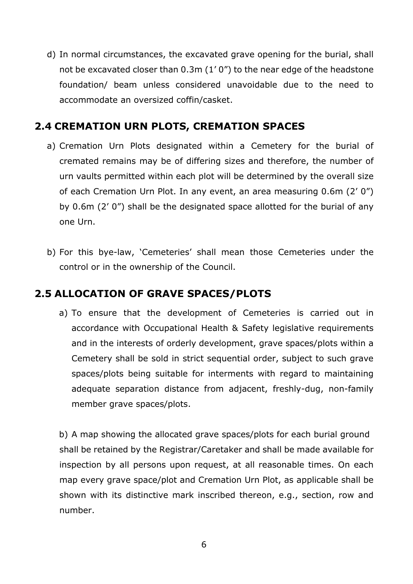d) In normal circumstances, the excavated grave opening for the burial, shall not be excavated closer than 0.3m (1' 0") to the near edge of the headstone foundation/ beam unless considered unavoidable due to the need to accommodate an oversized coffin/casket.

# <span id="page-8-0"></span>**2.4 CREMATION URN PLOTS, CREMATION SPACES**

- a) Cremation Urn Plots designated within a Cemetery for the burial of cremated remains may be of differing sizes and therefore, the number of urn vaults permitted within each plot will be determined by the overall size of each Cremation Urn Plot. In any event, an area measuring 0.6m (2' 0") by 0.6m (2' 0") shall be the designated space allotted for the burial of any one Urn.
- b) For this bye-law, 'Cemeteries' shall mean those Cemeteries under the control or in the ownership of the Council.

# <span id="page-8-1"></span>**2.5 ALLOCATION OF GRAVE SPACES/PLOTS**

a) To ensure that the development of Cemeteries is carried out in accordance with Occupational Health & Safety legislative requirements and in the interests of orderly development, grave spaces/plots within a Cemetery shall be sold in strict sequential order, subject to such grave spaces/plots being suitable for interments with regard to maintaining adequate separation distance from adjacent, freshly-dug, non-family member grave spaces/plots.

b) A map showing the allocated grave spaces/plots for each burial ground shall be retained by the Registrar/Caretaker and shall be made available for inspection by all persons upon request, at all reasonable times. On each map every grave space/plot and Cremation Urn Plot, as applicable shall be shown with its distinctive mark inscribed thereon, e.g., section, row and number.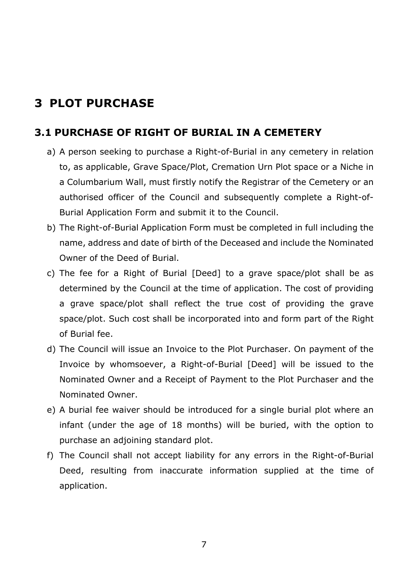# <span id="page-9-0"></span>**3 PLOT PURCHASE**

#### <span id="page-9-1"></span>**3.1 PURCHASE OF RIGHT OF BURIAL IN A CEMETERY**

- a) A person seeking to purchase a Right-of-Burial in any cemetery in relation to, as applicable, Grave Space/Plot, Cremation Urn Plot space or a Niche in a Columbarium Wall, must firstly notify the Registrar of the Cemetery or an authorised officer of the Council and subsequently complete a Right-of-Burial Application Form and submit it to the Council.
- b) The Right-of-Burial Application Form must be completed in full including the name, address and date of birth of the Deceased and include the Nominated Owner of the Deed of Burial.
- c) The fee for a Right of Burial [Deed] to a grave space/plot shall be as determined by the Council at the time of application. The cost of providing a grave space/plot shall reflect the true cost of providing the grave space/plot. Such cost shall be incorporated into and form part of the Right of Burial fee.
- d) The Council will issue an Invoice to the Plot Purchaser. On payment of the Invoice by whomsoever, a Right-of-Burial [Deed] will be issued to the Nominated Owner and a Receipt of Payment to the Plot Purchaser and the Nominated Owner.
- e) A burial fee waiver should be introduced for a single burial plot where an infant (under the age of 18 months) will be buried, with the option to purchase an adjoining standard plot.
- f) The Council shall not accept liability for any errors in the Right-of-Burial Deed, resulting from inaccurate information supplied at the time of application.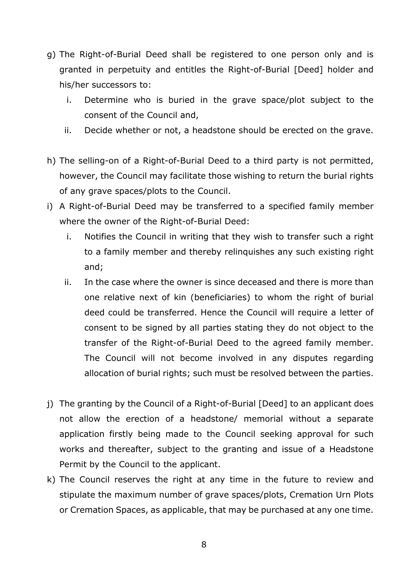- g) The Right-of-Burial Deed shall be registered to one person only and is granted in perpetuity and entitles the Right-of-Burial [Deed] holder and his/her successors to:
	- i. Determine who is buried in the grave space/plot subject to the consent of the Council and,
	- ii. Decide whether or not, a headstone should be erected on the grave.
- h) The selling-on of a Right-of-Burial Deed to a third party is not permitted, however, the Council may facilitate those wishing to return the burial rights of any grave spaces/plots to the Council.
- i) A Right-of-Burial Deed may be transferred to a specified family member where the owner of the Right-of-Burial Deed:
	- i. Notifies the Council in writing that they wish to transfer such a right to a family member and thereby relinquishes any such existing right and;
	- ii. In the case where the owner is since deceased and there is more than one relative next of kin (beneficiaries) to whom the right of burial deed could be transferred. Hence the Council will require a letter of consent to be signed by all parties stating they do not object to the transfer of the Right-of-Burial Deed to the agreed family member. The Council will not become involved in any disputes regarding allocation of burial rights; such must be resolved between the parties.
- j) The granting by the Council of a Right-of-Burial [Deed] to an applicant does not allow the erection of a headstone/ memorial without a separate application firstly being made to the Council seeking approval for such works and thereafter, subject to the granting and issue of a Headstone Permit by the Council to the applicant.
- k) The Council reserves the right at any time in the future to review and stipulate the maximum number of grave spaces/plots, Cremation Urn Plots or Cremation Spaces, as applicable, that may be purchased at any one time.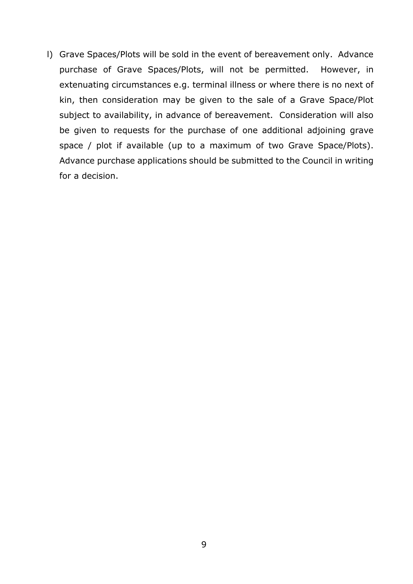l) Grave Spaces/Plots will be sold in the event of bereavement only. Advance purchase of Grave Spaces/Plots, will not be permitted. However, in extenuating circumstances e.g. terminal illness or where there is no next of kin, then consideration may be given to the sale of a Grave Space/Plot subject to availability, in advance of bereavement. Consideration will also be given to requests for the purchase of one additional adjoining grave space / plot if available (up to a maximum of two Grave Space/Plots). Advance purchase applications should be submitted to the Council in writing for a decision.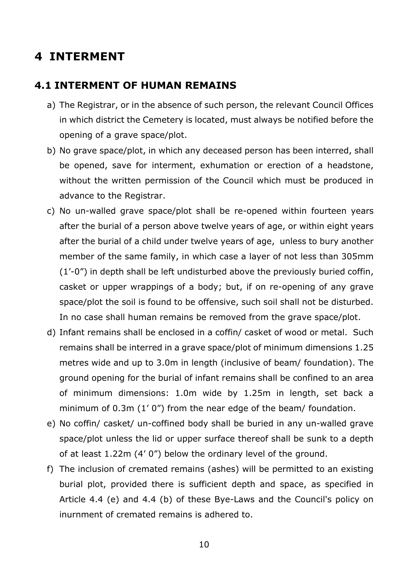# <span id="page-12-0"></span>**4 INTERMENT**

#### <span id="page-12-1"></span>**4.1 INTERMENT OF HUMAN REMAINS**

- a) The Registrar, or in the absence of such person, the relevant Council Offices in which district the Cemetery is located, must always be notified before the opening of a grave space/plot.
- b) No grave space/plot, in which any deceased person has been interred, shall be opened, save for interment, exhumation or erection of a headstone, without the written permission of the Council which must be produced in advance to the Registrar.
- c) No un-walled grave space/plot shall be re-opened within fourteen years after the burial of a person above twelve years of age, or within eight years after the burial of a child under twelve years of age, unless to bury another member of the same family, in which case a layer of not less than 305mm (1'-0") in depth shall be left undisturbed above the previously buried coffin, casket or upper wrappings of a body; but, if on re-opening of any grave space/plot the soil is found to be offensive, such soil shall not be disturbed. In no case shall human remains be removed from the grave space/plot.
- d) Infant remains shall be enclosed in a coffin/ casket of wood or metal. Such remains shall be interred in a grave space/plot of minimum dimensions 1.25 metres wide and up to 3.0m in length (inclusive of beam/ foundation). The ground opening for the burial of infant remains shall be confined to an area of minimum dimensions: 1.0m wide by 1.25m in length, set back a minimum of 0.3m (1' 0") from the near edge of the beam/ foundation.
- e) No coffin/ casket/ un-coffined body shall be buried in any un-walled grave space/plot unless the lid or upper surface thereof shall be sunk to a depth of at least 1.22m (4' 0") below the ordinary level of the ground.
- f) The inclusion of cremated remains (ashes) will be permitted to an existing burial plot, provided there is sufficient depth and space, as specified in Article 4.4 (e) and 4.4 (b) of these Bye-Laws and the Council's policy on inurnment of cremated remains is adhered to.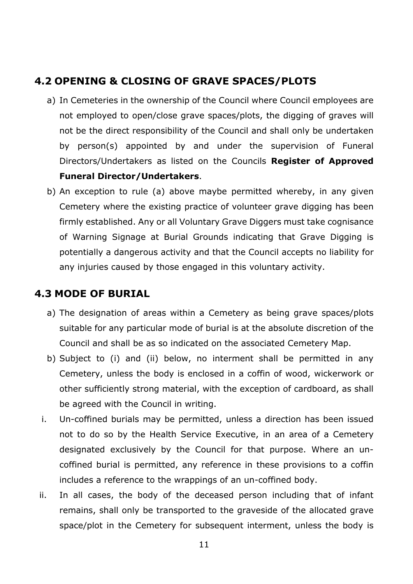# <span id="page-13-0"></span>**4.2 OPENING & CLOSING OF GRAVE SPACES/PLOTS**

- a) In Cemeteries in the ownership of the Council where Council employees are not employed to open/close grave spaces/plots, the digging of graves will not be the direct responsibility of the Council and shall only be undertaken by person(s) appointed by and under the supervision of Funeral Directors/Undertakers as listed on the Councils **Register of Approved Funeral Director/Undertakers**.
- b) An exception to rule (a) above maybe permitted whereby, in any given Cemetery where the existing practice of volunteer grave digging has been firmly established. Any or all Voluntary Grave Diggers must take cognisance of Warning Signage at Burial Grounds indicating that Grave Digging is potentially a dangerous activity and that the Council accepts no liability for any injuries caused by those engaged in this voluntary activity.

## <span id="page-13-1"></span>**4.3 MODE OF BURIAL**

- a) The designation of areas within a Cemetery as being grave spaces/plots suitable for any particular mode of burial is at the absolute discretion of the Council and shall be as so indicated on the associated Cemetery Map.
- b) Subject to (i) and (ii) below, no interment shall be permitted in any Cemetery, unless the body is enclosed in a coffin of wood, wickerwork or other sufficiently strong material, with the exception of cardboard, as shall be agreed with the Council in writing.
- i. Un-coffined burials may be permitted, unless a direction has been issued not to do so by the Health Service Executive, in an area of a Cemetery designated exclusively by the Council for that purpose. Where an uncoffined burial is permitted, any reference in these provisions to a coffin includes a reference to the wrappings of an un-coffined body.
- ii. In all cases, the body of the deceased person including that of infant remains, shall only be transported to the graveside of the allocated grave space/plot in the Cemetery for subsequent interment, unless the body is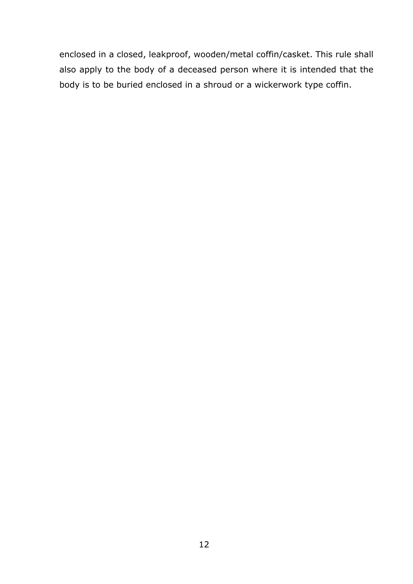enclosed in a closed, leakproof, wooden/metal coffin/casket. This rule shall also apply to the body of a deceased person where it is intended that the body is to be buried enclosed in a shroud or a wickerwork type coffin.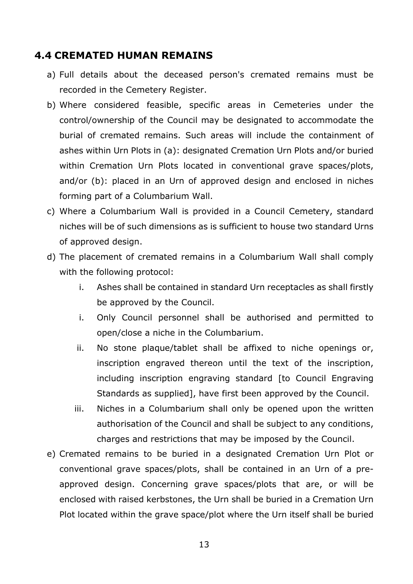#### <span id="page-15-0"></span>**4.4 CREMATED HUMAN REMAINS**

- a) Full details about the deceased person's cremated remains must be recorded in the Cemetery Register.
- b) Where considered feasible, specific areas in Cemeteries under the control/ownership of the Council may be designated to accommodate the burial of cremated remains. Such areas will include the containment of ashes within Urn Plots in (a): designated Cremation Urn Plots and/or buried within Cremation Urn Plots located in conventional grave spaces/plots, and/or (b): placed in an Urn of approved design and enclosed in niches forming part of a Columbarium Wall.
- c) Where a Columbarium Wall is provided in a Council Cemetery, standard niches will be of such dimensions as is sufficient to house two standard Urns of approved design.
- d) The placement of cremated remains in a Columbarium Wall shall comply with the following protocol:
	- i. Ashes shall be contained in standard Urn receptacles as shall firstly be approved by the Council.
	- i. Only Council personnel shall be authorised and permitted to open/close a niche in the Columbarium.
	- ii. No stone plaque/tablet shall be affixed to niche openings or, inscription engraved thereon until the text of the inscription, including inscription engraving standard [to Council Engraving Standards as supplied], have first been approved by the Council.
	- iii. Niches in a Columbarium shall only be opened upon the written authorisation of the Council and shall be subject to any conditions, charges and restrictions that may be imposed by the Council.
- e) Cremated remains to be buried in a designated Cremation Urn Plot or conventional grave spaces/plots, shall be contained in an Urn of a preapproved design. Concerning grave spaces/plots that are, or will be enclosed with raised kerbstones, the Urn shall be buried in a Cremation Urn Plot located within the grave space/plot where the Urn itself shall be buried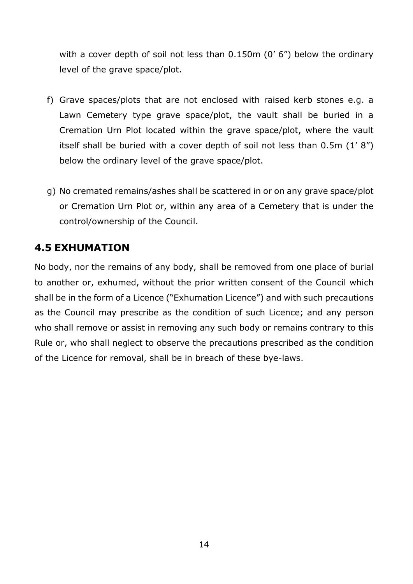with a cover depth of soil not less than 0.150m (0' 6") below the ordinary level of the grave space/plot.

- f) Grave spaces/plots that are not enclosed with raised kerb stones e.g. a Lawn Cemetery type grave space/plot, the vault shall be buried in a Cremation Urn Plot located within the grave space/plot, where the vault itself shall be buried with a cover depth of soil not less than 0.5m (1' 8") below the ordinary level of the grave space/plot.
- g) No cremated remains/ashes shall be scattered in or on any grave space/plot or Cremation Urn Plot or, within any area of a Cemetery that is under the control/ownership of the Council.

# <span id="page-16-0"></span>**4.5 EXHUMATION**

No body, nor the remains of any body, shall be removed from one place of burial to another or, exhumed, without the prior written consent of the Council which shall be in the form of a Licence ("Exhumation Licence") and with such precautions as the Council may prescribe as the condition of such Licence; and any person who shall remove or assist in removing any such body or remains contrary to this Rule or, who shall neglect to observe the precautions prescribed as the condition of the Licence for removal, shall be in breach of these bye-laws.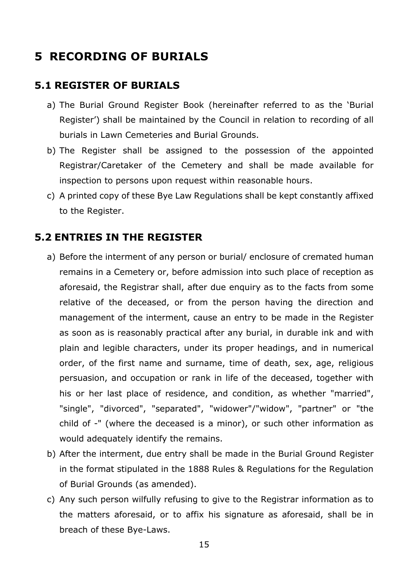# <span id="page-17-0"></span>**5 RECORDING OF BURIALS**

# <span id="page-17-1"></span>**5.1 REGISTER OF BURIALS**

- a) The Burial Ground Register Book (hereinafter referred to as the 'Burial Register') shall be maintained by the Council in relation to recording of all burials in Lawn Cemeteries and Burial Grounds.
- b) The Register shall be assigned to the possession of the appointed Registrar/Caretaker of the Cemetery and shall be made available for inspection to persons upon request within reasonable hours.
- c) A printed copy of these Bye Law Regulations shall be kept constantly affixed to the Register.

## <span id="page-17-2"></span>**5.2 ENTRIES IN THE REGISTER**

- a) Before the interment of any person or burial/ enclosure of cremated human remains in a Cemetery or, before admission into such place of reception as aforesaid, the Registrar shall, after due enquiry as to the facts from some relative of the deceased, or from the person having the direction and management of the interment, cause an entry to be made in the Register as soon as is reasonably practical after any burial, in durable ink and with plain and legible characters, under its proper headings, and in numerical order, of the first name and surname, time of death, sex, age, religious persuasion, and occupation or rank in life of the deceased, together with his or her last place of residence, and condition, as whether "married", "single", "divorced", "separated", "widower"/"widow", "partner" or "the child of -" (where the deceased is a minor), or such other information as would adequately identify the remains.
- b) After the interment, due entry shall be made in the Burial Ground Register in the format stipulated in the 1888 Rules & Regulations for the Regulation of Burial Grounds (as amended).
- c) Any such person wilfully refusing to give to the Registrar information as to the matters aforesaid, or to affix his signature as aforesaid, shall be in breach of these Bye-Laws.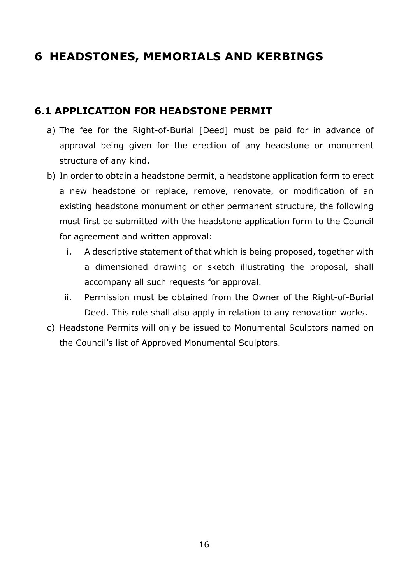# <span id="page-18-0"></span>**6 HEADSTONES, MEMORIALS AND KERBINGS**

# <span id="page-18-1"></span>**6.1 APPLICATION FOR HEADSTONE PERMIT**

- a) The fee for the Right-of-Burial [Deed] must be paid for in advance of approval being given for the erection of any headstone or monument structure of any kind.
- b) In order to obtain a headstone permit, a headstone application form to erect a new headstone or replace, remove, renovate, or modification of an existing headstone monument or other permanent structure, the following must first be submitted with the headstone application form to the Council for agreement and written approval:
	- i. A descriptive statement of that which is being proposed, together with a dimensioned drawing or sketch illustrating the proposal, shall accompany all such requests for approval.
	- ii. Permission must be obtained from the Owner of the Right-of-Burial Deed. This rule shall also apply in relation to any renovation works.
- c) Headstone Permits will only be issued to Monumental Sculptors named on the Council's list of Approved Monumental Sculptors.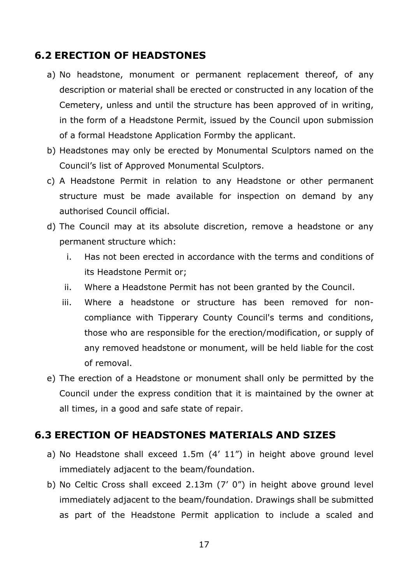#### <span id="page-19-0"></span>**6.2 ERECTION OF HEADSTONES**

- a) No headstone, monument or permanent replacement thereof, of any description or material shall be erected or constructed in any location of the Cemetery, unless and until the structure has been approved of in writing, in the form of a Headstone Permit, issued by the Council upon submission of a formal Headstone Application Formby the applicant.
- b) Headstones may only be erected by Monumental Sculptors named on the Council's list of Approved Monumental Sculptors.
- c) A Headstone Permit in relation to any Headstone or other permanent structure must be made available for inspection on demand by any authorised Council official.
- d) The Council may at its absolute discretion, remove a headstone or any permanent structure which:
	- i. Has not been erected in accordance with the terms and conditions of its Headstone Permit or;
	- ii. Where a Headstone Permit has not been granted by the Council.
	- iii. Where a headstone or structure has been removed for noncompliance with Tipperary County Council's terms and conditions, those who are responsible for the erection/modification, or supply of any removed headstone or monument, will be held liable for the cost of removal.
- e) The erection of a Headstone or monument shall only be permitted by the Council under the express condition that it is maintained by the owner at all times, in a good and safe state of repair.

## <span id="page-19-1"></span>**6.3 ERECTION OF HEADSTONES MATERIALS AND SIZES**

- a) No Headstone shall exceed 1.5m (4' 11") in height above ground level immediately adjacent to the beam/foundation.
- b) No Celtic Cross shall exceed 2.13m (7' 0") in height above ground level immediately adjacent to the beam/foundation. Drawings shall be submitted as part of the Headstone Permit application to include a scaled and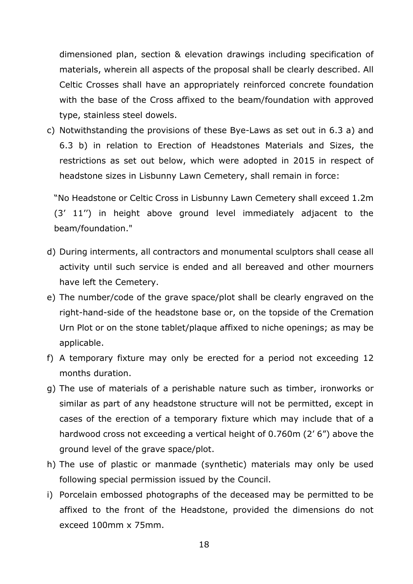dimensioned plan, section & elevation drawings including specification of materials, wherein all aspects of the proposal shall be clearly described. All Celtic Crosses shall have an appropriately reinforced concrete foundation with the base of the Cross affixed to the beam/foundation with approved type, stainless steel dowels.

c) Notwithstanding the provisions of these Bye-Laws as set out in 6.3 a) and 6.3 b) in relation to Erection of Headstones Materials and Sizes, the restrictions as set out below, which were adopted in 2015 in respect of headstone sizes in Lisbunny Lawn Cemetery, shall remain in force:

"No Headstone or Celtic Cross in Lisbunny Lawn Cemetery shall exceed 1.2m (3' 11'') in height above ground level immediately adjacent to the beam/foundation."

- d) During interments, all contractors and monumental sculptors shall cease all activity until such service is ended and all bereaved and other mourners have left the Cemetery.
- e) The number/code of the grave space/plot shall be clearly engraved on the right-hand-side of the headstone base or, on the topside of the Cremation Urn Plot or on the stone tablet/plaque affixed to niche openings; as may be applicable.
- f) A temporary fixture may only be erected for a period not exceeding 12 months duration.
- g) The use of materials of a perishable nature such as timber, ironworks or similar as part of any headstone structure will not be permitted, except in cases of the erection of a temporary fixture which may include that of a hardwood cross not exceeding a vertical height of 0.760m (2' 6") above the ground level of the grave space/plot.
- h) The use of plastic or manmade (synthetic) materials may only be used following special permission issued by the Council.
- i) Porcelain embossed photographs of the deceased may be permitted to be affixed to the front of the Headstone, provided the dimensions do not exceed 100mm x 75mm.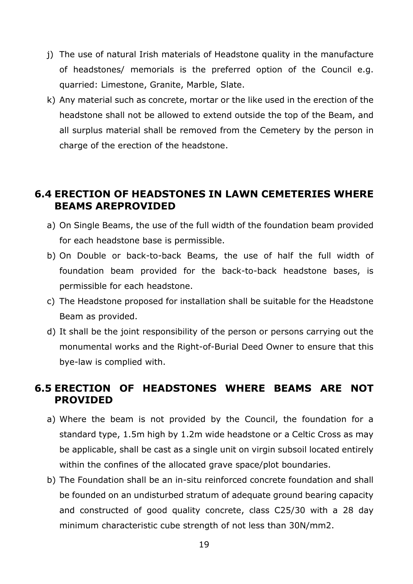- j) The use of natural Irish materials of Headstone quality in the manufacture of headstones/ memorials is the preferred option of the Council e.g. quarried: Limestone, Granite, Marble, Slate.
- k) Any material such as concrete, mortar or the like used in the erection of the headstone shall not be allowed to extend outside the top of the Beam, and all surplus material shall be removed from the Cemetery by the person in charge of the erection of the headstone.

## <span id="page-21-0"></span>**6.4 ERECTION OF HEADSTONES IN LAWN CEMETERIES WHERE BEAMS AREPROVIDED**

- a) On Single Beams, the use of the full width of the foundation beam provided for each headstone base is permissible.
- b) On Double or back-to-back Beams, the use of half the full width of foundation beam provided for the back-to-back headstone bases, is permissible for each headstone.
- c) The Headstone proposed for installation shall be suitable for the Headstone Beam as provided.
- d) It shall be the joint responsibility of the person or persons carrying out the monumental works and the Right-of-Burial Deed Owner to ensure that this bye-law is complied with.

# <span id="page-21-1"></span>**6.5 ERECTION OF HEADSTONES WHERE BEAMS ARE NOT PROVIDED**

- a) Where the beam is not provided by the Council, the foundation for a standard type, 1.5m high by 1.2m wide headstone or a Celtic Cross as may be applicable, shall be cast as a single unit on virgin subsoil located entirely within the confines of the allocated grave space/plot boundaries.
- b) The Foundation shall be an in-situ reinforced concrete foundation and shall be founded on an undisturbed stratum of adequate ground bearing capacity and constructed of good quality concrete, class C25/30 with a 28 day minimum characteristic cube strength of not less than 30N/mm2.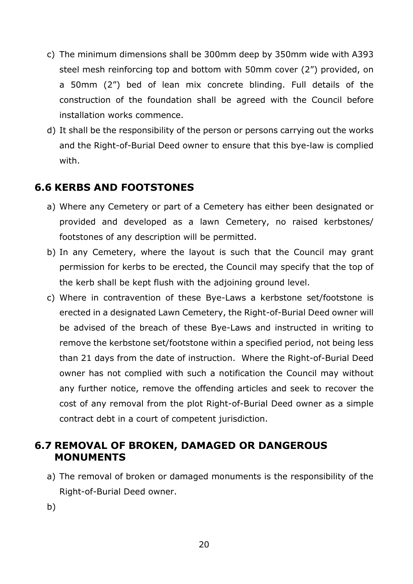- c) The minimum dimensions shall be 300mm deep by 350mm wide with A393 steel mesh reinforcing top and bottom with 50mm cover (2") provided, on a 50mm (2") bed of lean mix concrete blinding. Full details of the construction of the foundation shall be agreed with the Council before installation works commence.
- d) It shall be the responsibility of the person or persons carrying out the works and the Right-of-Burial Deed owner to ensure that this bye-law is complied with.

## <span id="page-22-0"></span>**6.6 KERBS AND FOOTSTONES**

- a) Where any Cemetery or part of a Cemetery has either been designated or provided and developed as a lawn Cemetery, no raised kerbstones/ footstones of any description will be permitted.
- b) In any Cemetery, where the layout is such that the Council may grant permission for kerbs to be erected, the Council may specify that the top of the kerb shall be kept flush with the adjoining ground level.
- c) Where in contravention of these Bye-Laws a kerbstone set/footstone is erected in a designated Lawn Cemetery, the Right-of-Burial Deed owner will be advised of the breach of these Bye-Laws and instructed in writing to remove the kerbstone set/footstone within a specified period, not being less than 21 days from the date of instruction. Where the Right-of-Burial Deed owner has not complied with such a notification the Council may without any further notice, remove the offending articles and seek to recover the cost of any removal from the plot Right-of-Burial Deed owner as a simple contract debt in a court of competent jurisdiction.

## <span id="page-22-1"></span>**6.7 REMOVAL OF BROKEN, DAMAGED OR DANGEROUS MONUMENTS**

- a) The removal of broken or damaged monuments is the responsibility of the Right-of-Burial Deed owner.
- b)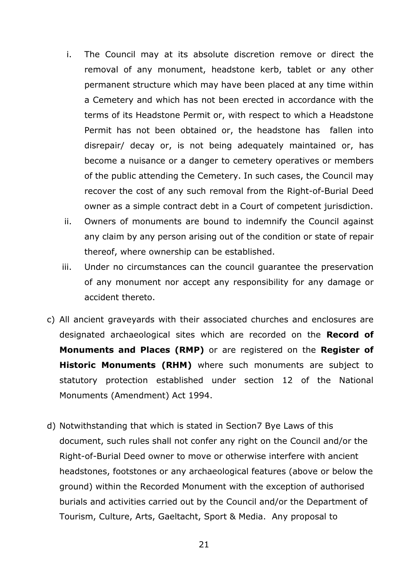- i. The Council may at its absolute discretion remove or direct the removal of any monument, headstone kerb, tablet or any other permanent structure which may have been placed at any time within a Cemetery and which has not been erected in accordance with the terms of its Headstone Permit or, with respect to which a Headstone Permit has not been obtained or, the headstone has fallen into disrepair/ decay or, is not being adequately maintained or, has become a nuisance or a danger to cemetery operatives or members of the public attending the Cemetery. In such cases, the Council may recover the cost of any such removal from the Right-of-Burial Deed owner as a simple contract debt in a Court of competent jurisdiction.
- ii. Owners of monuments are bound to indemnify the Council against any claim by any person arising out of the condition or state of repair thereof, where ownership can be established.
- iii. Under no circumstances can the council guarantee the preservation of any monument nor accept any responsibility for any damage or accident thereto.
- c) All ancient graveyards with their associated churches and enclosures are designated archaeological sites which are recorded on the **Record of Monuments and Places (RMP)** or are registered on the **Register of Historic Monuments (RHM)** where such monuments are subject to statutory protection established under section 12 of the National Monuments (Amendment) Act 1994.
- d) Notwithstanding that which is stated in Section7 Bye Laws of this document, such rules shall not confer any right on the Council and/or the Right-of-Burial Deed owner to move or otherwise interfere with ancient headstones, footstones or any archaeological features (above or below the ground) within the Recorded Monument with the exception of authorised burials and activities carried out by the Council and/or the Department of Tourism, Culture, Arts, Gaeltacht, Sport & Media. Any proposal to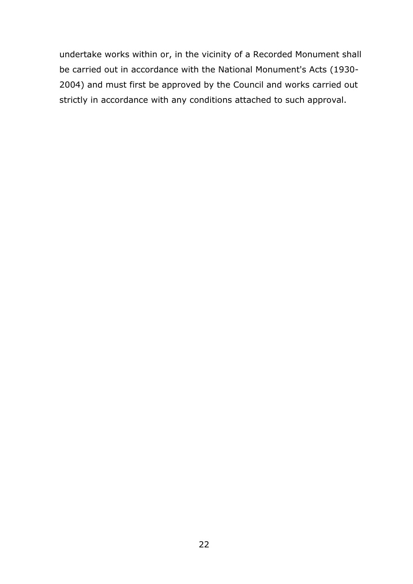undertake works within or, in the vicinity of a Recorded Monument shall be carried out in accordance with the National Monument's Acts (1930- 2004) and must first be approved by the Council and works carried out strictly in accordance with any conditions attached to such approval.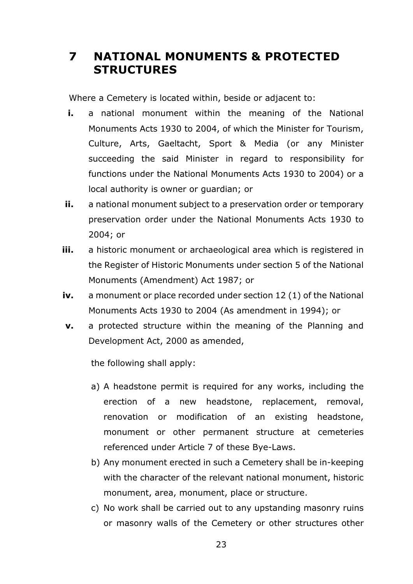# <span id="page-25-0"></span>**7 NATIONAL MONUMENTS & PROTECTED STRUCTURES**

Where a Cemetery is located within, beside or adjacent to:

- **i.** a national monument within the meaning of the National Monuments Acts 1930 to 2004, of which the Minister for Tourism, Culture, Arts, Gaeltacht, Sport & Media (or any Minister succeeding the said Minister in regard to responsibility for functions under the National Monuments Acts 1930 to 2004) or a local authority is owner or guardian; or
- **ii.** a national monument subject to a preservation order or temporary preservation order under the National Monuments Acts 1930 to 2004; or
- **iii.** a historic monument or archaeological area which is registered in the Register of Historic Monuments under section 5 of the National Monuments (Amendment) Act 1987; or
- **iv.** a monument or place recorded under section 12 (1) of the National Monuments Acts 1930 to 2004 (As amendment in 1994); or
- **v.** a protected structure within the meaning of the Planning and Development Act, 2000 as amended,

the following shall apply:

- a) A headstone permit is required for any works, including the erection of a new headstone, replacement, removal, renovation or modification of an existing headstone, monument or other permanent structure at cemeteries referenced under Article 7 of these Bye-Laws.
- b) Any monument erected in such a Cemetery shall be in-keeping with the character of the relevant national monument, historic monument, area, monument, place or structure.
- c) No work shall be carried out to any upstanding masonry ruins or masonry walls of the Cemetery or other structures other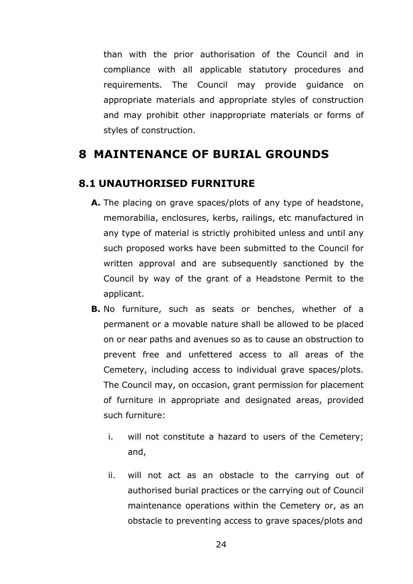than with the prior authorisation of the Council and in compliance with all applicable statutory procedures and requirements. The Council may provide guidance on appropriate materials and appropriate styles of construction and may prohibit other inappropriate materials or forms of styles of construction.

# <span id="page-26-0"></span>**8 MAINTENANCE OF BURIAL GROUNDS**

#### <span id="page-26-1"></span>**8.1 UNAUTHORISED FURNITURE**

- **A.** The placing on grave spaces/plots of any type of headstone, memorabilia, enclosures, kerbs, railings, etc manufactured in any type of material is strictly prohibited unless and until any such proposed works have been submitted to the Council for written approval and are subsequently sanctioned by the Council by way of the grant of a Headstone Permit to the applicant.
- **B.** No furniture, such as seats or benches, whether of a permanent or a movable nature shall be allowed to be placed on or near paths and avenues so as to cause an obstruction to prevent free and unfettered access to all areas of the Cemetery, including access to individual grave spaces/plots. The Council may, on occasion, grant permission for placement of furniture in appropriate and designated areas, provided such furniture:
	- i. will not constitute a hazard to users of the Cemetery; and,
	- ii. will not act as an obstacle to the carrying out of authorised burial practices or the carrying out of Council maintenance operations within the Cemetery or, as an obstacle to preventing access to grave spaces/plots and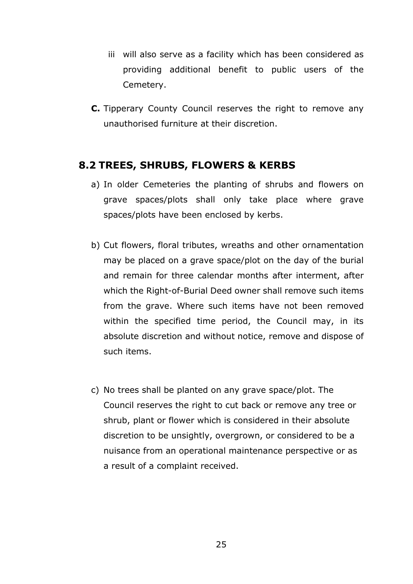- iii will also serve as a facility which has been considered as providing additional benefit to public users of the Cemetery.
- **C.** Tipperary County Council reserves the right to remove any unauthorised furniture at their discretion.

#### <span id="page-27-0"></span>**8.2 TREES, SHRUBS, FLOWERS & KERBS**

- a) In older Cemeteries the planting of shrubs and flowers on grave spaces/plots shall only take place where grave spaces/plots have been enclosed by kerbs.
- b) Cut flowers, floral tributes, wreaths and other ornamentation may be placed on a grave space/plot on the day of the burial and remain for three calendar months after interment, after which the Right-of-Burial Deed owner shall remove such items from the grave. Where such items have not been removed within the specified time period, the Council may, in its absolute discretion and without notice, remove and dispose of such items.
- c) No trees shall be planted on any grave space/plot. The Council reserves the right to cut back or remove any tree or shrub, plant or flower which is considered in their absolute discretion to be unsightly, overgrown, or considered to be a nuisance from an operational maintenance perspective or as a result of a complaint received.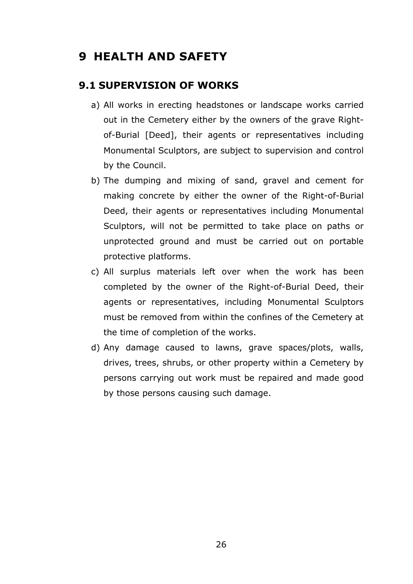# <span id="page-28-0"></span>**9 HEALTH AND SAFETY**

#### <span id="page-28-1"></span>**9.1 SUPERVISION OF WORKS**

- a) All works in erecting headstones or landscape works carried out in the Cemetery either by the owners of the grave Rightof-Burial [Deed], their agents or representatives including Monumental Sculptors, are subject to supervision and control by the Council.
- b) The dumping and mixing of sand, gravel and cement for making concrete by either the owner of the Right-of-Burial Deed, their agents or representatives including Monumental Sculptors, will not be permitted to take place on paths or unprotected ground and must be carried out on portable protective platforms.
- c) All surplus materials left over when the work has been completed by the owner of the Right-of-Burial Deed, their agents or representatives, including Monumental Sculptors must be removed from within the confines of the Cemetery at the time of completion of the works.
- d) Any damage caused to lawns, grave spaces/plots, walls, drives, trees, shrubs, or other property within a Cemetery by persons carrying out work must be repaired and made good by those persons causing such damage.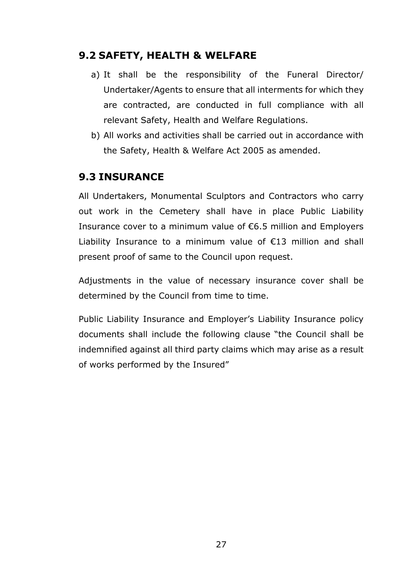## <span id="page-29-0"></span>**9.2 SAFETY, HEALTH & WELFARE**

- a) It shall be the responsibility of the Funeral Director/ Undertaker/Agents to ensure that all interments for which they are contracted, are conducted in full compliance with all relevant Safety, Health and Welfare Regulations.
- b) All works and activities shall be carried out in accordance with the Safety, Health & Welfare Act 2005 as amended.

# <span id="page-29-1"></span>**9.3 INSURANCE**

All Undertakers, Monumental Sculptors and Contractors who carry out work in the Cemetery shall have in place Public Liability Insurance cover to a minimum value of €6.5 million and Employers Liability Insurance to a minimum value of  $E13$  million and shall present proof of same to the Council upon request.

Adjustments in the value of necessary insurance cover shall be determined by the Council from time to time.

Public Liability Insurance and Employer's Liability Insurance policy documents shall include the following clause "the Council shall be indemnified against all third party claims which may arise as a result of works performed by the Insured"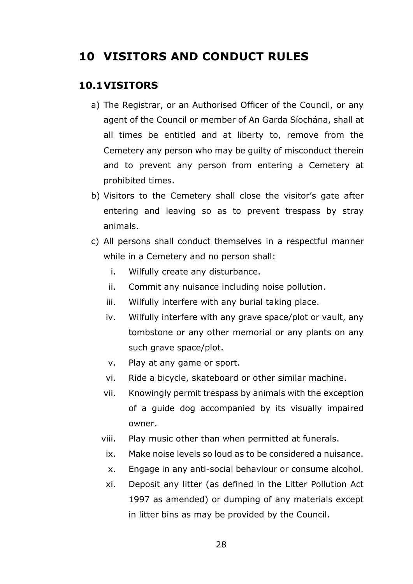# <span id="page-30-0"></span>**10 VISITORS AND CONDUCT RULES**

#### <span id="page-30-1"></span>**10.1VISITORS**

- a) The Registrar, or an Authorised Officer of the Council, or any agent of the Council or member of An Garda Síochána, shall at all times be entitled and at liberty to, remove from the Cemetery any person who may be guilty of misconduct therein and to prevent any person from entering a Cemetery at prohibited times.
- b) Visitors to the Cemetery shall close the visitor's gate after entering and leaving so as to prevent trespass by stray animals.
- c) All persons shall conduct themselves in a respectful manner while in a Cemetery and no person shall:
	- i. Wilfully create any disturbance.
	- ii. Commit any nuisance including noise pollution.
	- iii. Wilfully interfere with any burial taking place.
	- iv. Wilfully interfere with any grave space/plot or vault, any tombstone or any other memorial or any plants on any such grave space/plot.
	- v. Play at any game or sport.
	- vi. Ride a bicycle, skateboard or other similar machine.
	- vii. Knowingly permit trespass by animals with the exception of a guide dog accompanied by its visually impaired owner.
	- viii. Play music other than when permitted at funerals.
	- ix. Make noise levels so loud as to be considered a nuisance.
	- x. Engage in any anti-social behaviour or consume alcohol.
	- xi. Deposit any litter (as defined in the Litter Pollution Act 1997 as amended) or dumping of any materials except in litter bins as may be provided by the Council.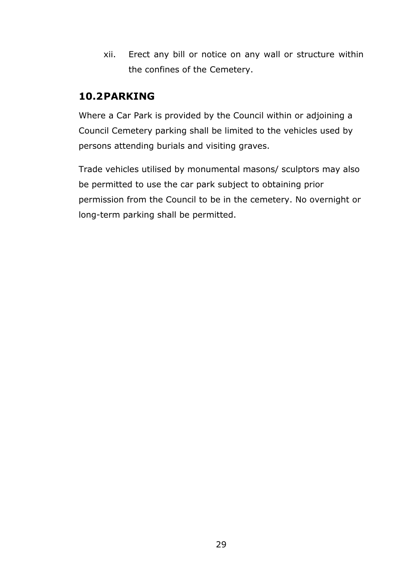xii. Erect any bill or notice on any wall or structure within the confines of the Cemetery.

## <span id="page-31-0"></span>**10.2PARKING**

Where a Car Park is provided by the Council within or adjoining a Council Cemetery parking shall be limited to the vehicles used by persons attending burials and visiting graves.

Trade vehicles utilised by monumental masons/ sculptors may also be permitted to use the car park subject to obtaining prior permission from the Council to be in the cemetery. No overnight or long-term parking shall be permitted.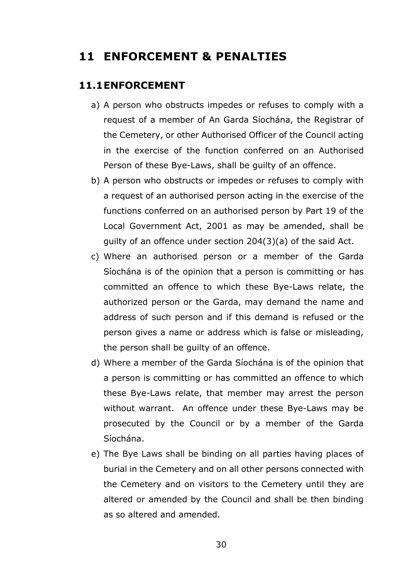# <span id="page-32-0"></span>**11 ENFORCEMENT & PENALTIES**

#### <span id="page-32-1"></span>**11.1ENFORCEMENT**

- a) A person who obstructs impedes or refuses to comply with a request of a member of An Garda Síochána, the Registrar of the Cemetery, or other Authorised Officer of the Council acting in the exercise of the function conferred on an Authorised Person of these Bye-Laws, shall be guilty of an offence.
- b) A person who obstructs or impedes or refuses to comply with a request of an authorised person acting in the exercise of the functions conferred on an authorised person by Part 19 of the Local Government Act, 2001 as may be amended, shall be guilty of an offence under section 204(3)(a) of the said Act.
- c) Where an authorised person or a member of the Garda Síochána is of the opinion that a person is committing or has committed an offence to which these Bye-Laws relate, the authorized person or the Garda, may demand the name and address of such person and if this demand is refused or the person gives a name or address which is false or misleading, the person shall be guilty of an offence.
- d) Where a member of the Garda Síochána is of the opinion that a person is committing or has committed an offence to which these Bye-Laws relate, that member may arrest the person without warrant. An offence under these Bye-Laws may be prosecuted by the Council or by a member of the Garda Síochána.
- e) The Bye Laws shall be binding on all parties having places of burial in the Cemetery and on all other persons connected with the Cemetery and on visitors to the Cemetery until they are altered or amended by the Council and shall be then binding as so altered and amended.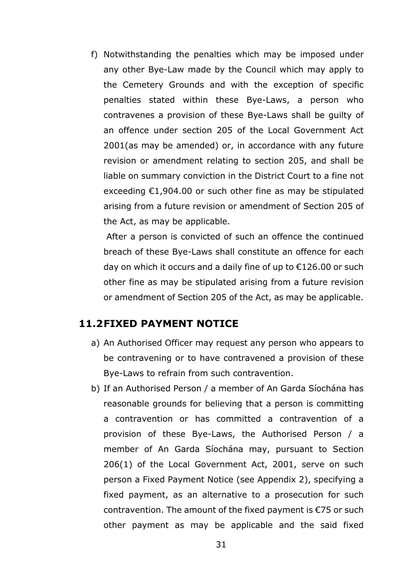f) Notwithstanding the penalties which may be imposed under any other Bye-Law made by the Council which may apply to the Cemetery Grounds and with the exception of specific penalties stated within these Bye-Laws, a person who contravenes a provision of these Bye-Laws shall be guilty of an offence under section 205 of the Local Government Act 2001(as may be amended) or, in accordance with any future revision or amendment relating to section 205, and shall be liable on summary conviction in the District Court to a fine not exceeding €1,904.00 or such other fine as may be stipulated arising from a future revision or amendment of Section 205 of the Act, as may be applicable.

After a person is convicted of such an offence the continued breach of these Bye-Laws shall constitute an offence for each day on which it occurs and a daily fine of up to €126.00 or such other fine as may be stipulated arising from a future revision or amendment of Section 205 of the Act, as may be applicable.

#### <span id="page-33-0"></span>**11.2FIXED PAYMENT NOTICE**

- a) An Authorised Officer may request any person who appears to be contravening or to have contravened a provision of these Bye-Laws to refrain from such contravention.
- b) If an Authorised Person / a member of An Garda Síochána has reasonable grounds for believing that a person is committing a contravention or has committed a contravention of a provision of these Bye-Laws, the Authorised Person / a member of An Garda Síochána may, pursuant to Section 206(1) of the Local Government Act, 2001, serve on such person a Fixed Payment Notice (see Appendix 2), specifying a fixed payment, as an alternative to a prosecution for such contravention. The amount of the fixed payment is €75 or such other payment as may be applicable and the said fixed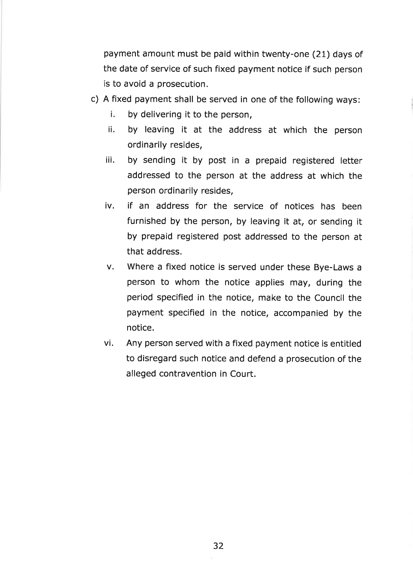payment amount must be paid within twenty-one (21) days of the date of service of such fixed payment notice if such person is to avoid a prosecution.

- c) A fixed payment shall be served in one of the following ways:
	- i, by delivering it to the person,
	- ii. by leaving it at the address at which the person ordinarily resides,
	- iii. by sending it by post in a prepaid registered letter addressed to the person at the address at which the person ordinarily resides,
	- iv. if an address for the service of notices has been furnished by the person, by leaving it at, or sending it by prepaid registered post addressed to the person at that address.
	- v. Where a fixed notice is served under these Bye-Laws <sup>a</sup> person to whom the notice applies may, during the period specified in the notice, make to the Council the payment specified in the notice, accompanied by the notice.
	- vi. Any person served with a fixed payment notice is entitled to disregard such notice and defend a prosecution of the alleged contravention in Court.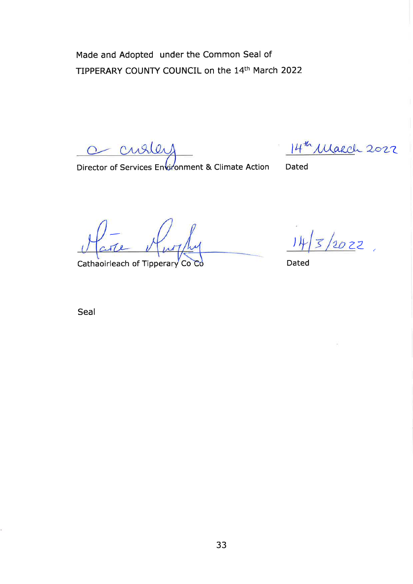Made and Adopted under the Common Seal of TIPPERARY COUNTY COUNCIL on the 14th March 2022

curler  $\circ$ 

 $14^{\mathrm{th}}$  Makch 2022

Director of Services Environment & Climate Action Dated

Cathaoirleach of Tipperary Co Co Co Dated

 $\frac{1}{20}$  22

Seal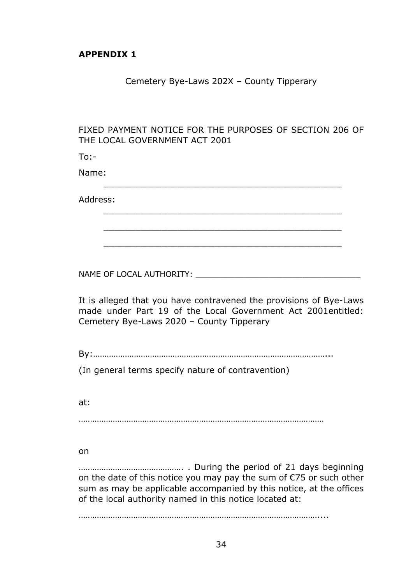#### <span id="page-36-0"></span>**APPENDIX 1**

#### Cemetery Bye-Laws 202X – County Tipperary

#### FIXED PAYMENT NOTICE FOR THE PURPOSES OF SECTION 206 OF THE LOCAL GOVERNMENT ACT 2001

\_\_\_\_\_\_\_\_\_\_\_\_\_\_\_\_\_\_\_\_\_\_\_\_\_\_\_\_\_\_\_\_\_\_\_\_\_\_\_\_\_\_\_\_\_

\_\_\_\_\_\_\_\_\_\_\_\_\_\_\_\_\_\_\_\_\_\_\_\_\_\_\_\_\_\_\_\_\_\_\_\_\_\_\_\_\_\_\_\_\_

\_\_\_\_\_\_\_\_\_\_\_\_\_\_\_\_\_\_\_\_\_\_\_\_\_\_\_\_\_\_\_\_\_\_\_\_\_\_\_\_\_\_\_\_\_

\_\_\_\_\_\_\_\_\_\_\_\_\_\_\_\_\_\_\_\_\_\_\_\_\_\_\_\_\_\_\_\_\_\_\_\_\_\_\_\_\_\_\_\_\_

 $To:$ -

Name:

Address:

NAME OF LOCAL AUTHORITY: \_\_\_\_\_\_\_\_\_\_\_\_\_\_\_\_\_\_\_\_\_\_\_\_\_\_\_\_\_\_\_\_\_\_

It is alleged that you have contravened the provisions of Bye-Laws made under Part 19 of the Local Government Act 2001entitled: Cemetery Bye-Laws 2020 – County Tipperary

By:…………………………………………………………………………………………...

(In general terms specify nature of contravention)

at:

………………………………………………………………………………………………

on

………………………………………. . During the period of 21 days beginning on the date of this notice you may pay the sum of €75 or such other sum as may be applicable accompanied by this notice, at the offices of the local authority named in this notice located at:

……………………………………………………………………………………………....